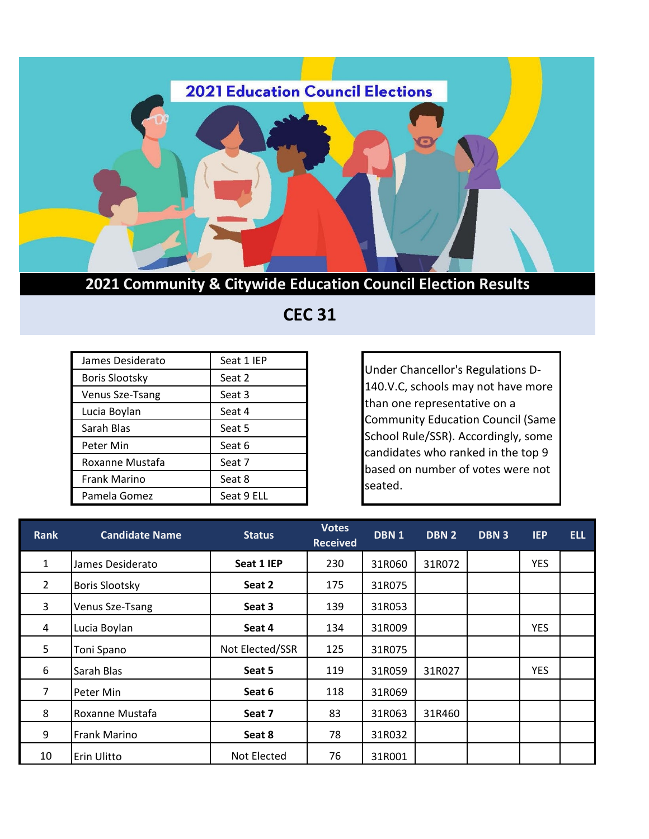

**2021 Community & Citywide Education Council Election Results**

 **CEC 31**

| James Desiderato      | Seat 1 IEP |
|-----------------------|------------|
| <b>Boris Slootsky</b> | Seat 2     |
| Venus Sze-Tsang       | Seat 3     |
| Lucia Boylan          | Seat 4     |
| Sarah Blas            | Seat 5     |
| Peter Min             | Seat 6     |
| Roxanne Mustafa       | Seat 7     |
| <b>Frank Marino</b>   | Seat 8     |
| Pamela Gomez          | Seat 9 ELL |

Under Chancellor's Regulations D-140.V.C, schools may not have more than one representative on a Community Education Council (Same School Rule/SSR). Accordingly, some candidates who ranked in the top 9 based on number of votes were not seated.

| <b>Rank</b>    | <b>Candidate Name</b> | <b>Status</b>   | <b>Votes</b><br><b>Received</b> | DBN <sub>1</sub> | DBN 2  | DBN <sub>3</sub> | <b>IEP</b> | ELL. |
|----------------|-----------------------|-----------------|---------------------------------|------------------|--------|------------------|------------|------|
| $\mathbf{1}$   | James Desiderato      | Seat 1 IEP      | 230                             | 31R060           | 31R072 |                  | <b>YES</b> |      |
| $\overline{2}$ | <b>Boris Slootsky</b> | Seat 2          | 175                             | 31R075           |        |                  |            |      |
| 3              | Venus Sze-Tsang       | Seat 3          | 139                             | 31R053           |        |                  |            |      |
| 4              | Lucia Boylan          | Seat 4          | 134                             | 31R009           |        |                  | <b>YES</b> |      |
| 5              | Toni Spano            | Not Elected/SSR | 125                             | 31R075           |        |                  |            |      |
| 6              | Sarah Blas            | Seat 5          | 119                             | 31R059           | 31R027 |                  | <b>YES</b> |      |
| 7              | Peter Min             | Seat 6          | 118                             | 31R069           |        |                  |            |      |
| 8              | Roxanne Mustafa       | Seat 7          | 83                              | 31R063           | 31R460 |                  |            |      |
| 9              | <b>Frank Marino</b>   | Seat 8          | 78                              | 31R032           |        |                  |            |      |
| 10             | Erin Ulitto           | Not Elected     | 76                              | 31R001           |        |                  |            |      |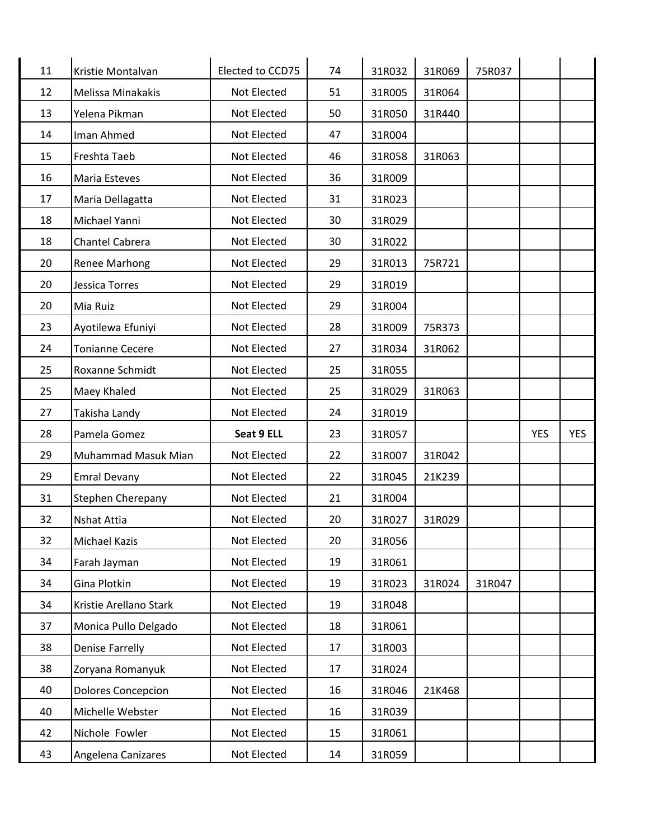| 11 | Kristie Montalvan         | Elected to CCD75 | 74 | 31R032 | 31R069 | 75R037 |            |            |
|----|---------------------------|------------------|----|--------|--------|--------|------------|------------|
| 12 | Melissa Minakakis         | Not Elected      | 51 | 31R005 | 31R064 |        |            |            |
| 13 | Yelena Pikman             | Not Elected      | 50 | 31R050 | 31R440 |        |            |            |
| 14 | Iman Ahmed                | Not Elected      | 47 | 31R004 |        |        |            |            |
| 15 | Freshta Taeb              | Not Elected      | 46 | 31R058 | 31R063 |        |            |            |
| 16 | Maria Esteves             | Not Elected      | 36 | 31R009 |        |        |            |            |
| 17 | Maria Dellagatta          | Not Elected      | 31 | 31R023 |        |        |            |            |
| 18 | Michael Yanni             | Not Elected      | 30 | 31R029 |        |        |            |            |
| 18 | Chantel Cabrera           | Not Elected      | 30 | 31R022 |        |        |            |            |
| 20 | Renee Marhong             | Not Elected      | 29 | 31R013 | 75R721 |        |            |            |
| 20 | Jessica Torres            | Not Elected      | 29 | 31R019 |        |        |            |            |
| 20 | Mia Ruiz                  | Not Elected      | 29 | 31R004 |        |        |            |            |
| 23 | Ayotilewa Efuniyi         | Not Elected      | 28 | 31R009 | 75R373 |        |            |            |
| 24 | <b>Tonianne Cecere</b>    | Not Elected      | 27 | 31R034 | 31R062 |        |            |            |
| 25 | Roxanne Schmidt           | Not Elected      | 25 | 31R055 |        |        |            |            |
| 25 | Maey Khaled               | Not Elected      | 25 | 31R029 | 31R063 |        |            |            |
| 27 | Takisha Landy             | Not Elected      | 24 | 31R019 |        |        |            |            |
| 28 | Pamela Gomez              | Seat 9 ELL       | 23 | 31R057 |        |        | <b>YES</b> | <b>YES</b> |
| 29 | Muhammad Masuk Mian       | Not Elected      | 22 | 31R007 | 31R042 |        |            |            |
| 29 | <b>Emral Devany</b>       | Not Elected      | 22 | 31R045 | 21K239 |        |            |            |
| 31 | Stephen Cherepany         | Not Elected      | 21 | 31R004 |        |        |            |            |
| 32 | Nshat Attia               | Not Elected      | 20 | 31R027 | 31R029 |        |            |            |
| 32 | Michael Kazis             | Not Elected      | 20 | 31R056 |        |        |            |            |
| 34 | Farah Jayman              | Not Elected      | 19 | 31R061 |        |        |            |            |
| 34 | Gina Plotkin              | Not Elected      | 19 | 31R023 | 31R024 | 31R047 |            |            |
| 34 | Kristie Arellano Stark    | Not Elected      | 19 | 31R048 |        |        |            |            |
| 37 | Monica Pullo Delgado      | Not Elected      | 18 | 31R061 |        |        |            |            |
| 38 | <b>Denise Farrelly</b>    | Not Elected      | 17 | 31R003 |        |        |            |            |
| 38 | Zoryana Romanyuk          | Not Elected      | 17 | 31R024 |        |        |            |            |
| 40 | <b>Dolores Concepcion</b> | Not Elected      | 16 | 31R046 | 21K468 |        |            |            |
| 40 | Michelle Webster          | Not Elected      | 16 | 31R039 |        |        |            |            |
| 42 | Nichole Fowler            | Not Elected      | 15 | 31R061 |        |        |            |            |
| 43 | Angelena Canizares        | Not Elected      | 14 | 31R059 |        |        |            |            |